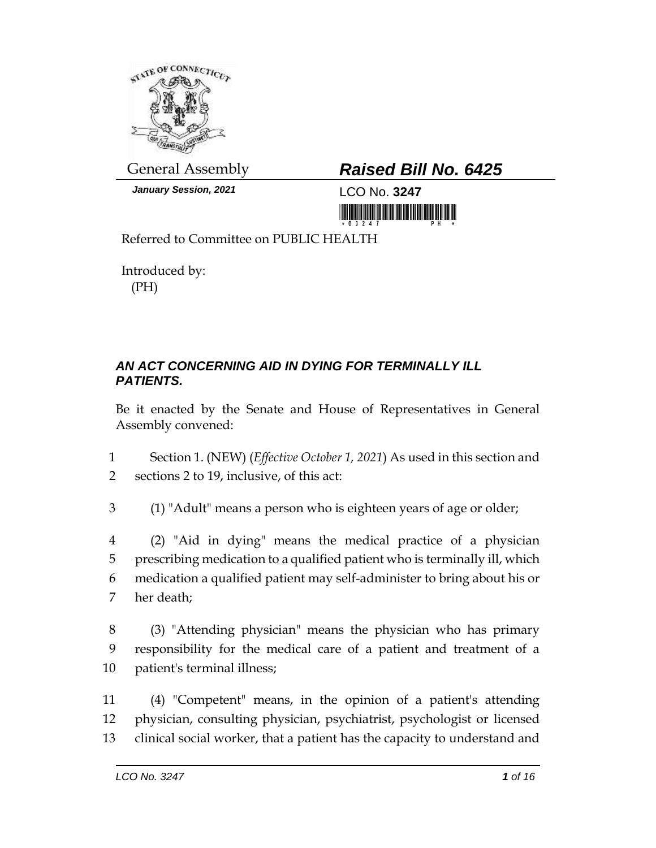

*January Session, 2021* LCO No. **3247**

# General Assembly *Raised Bill No. 6425*

<u> III maarta maanda ka mid maanda maanda maanda m</u>

Referred to Committee on PUBLIC HEALTH

Introduced by: (PH)

## *AN ACT CONCERNING AID IN DYING FOR TERMINALLY ILL PATIENTS.*

Be it enacted by the Senate and House of Representatives in General Assembly convened:

1 Section 1. (NEW) (*Effective October 1, 2021*) As used in this section and 2 sections 2 to 19, inclusive, of this act:

3 (1) "Adult" means a person who is eighteen years of age or older;

 (2) "Aid in dying" means the medical practice of a physician prescribing medication to a qualified patient who is terminally ill, which medication a qualified patient may self-administer to bring about his or her death;

8 (3) "Attending physician" means the physician who has primary 9 responsibility for the medical care of a patient and treatment of a 10 patient's terminal illness;

11 (4) "Competent" means, in the opinion of a patient's attending 12 physician, consulting physician, psychiatrist, psychologist or licensed 13 clinical social worker, that a patient has the capacity to understand and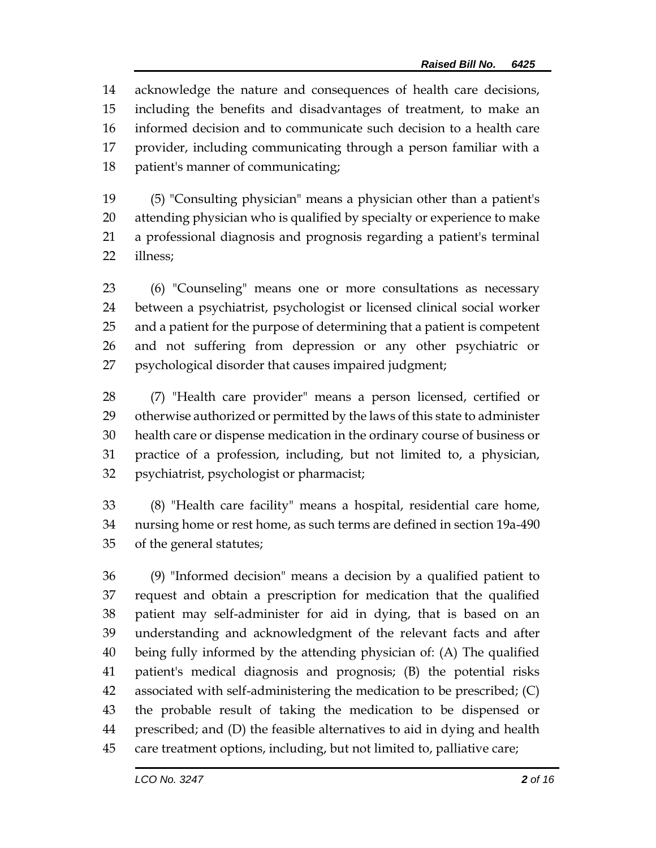acknowledge the nature and consequences of health care decisions, including the benefits and disadvantages of treatment, to make an informed decision and to communicate such decision to a health care provider, including communicating through a person familiar with a patient's manner of communicating;

 (5) "Consulting physician" means a physician other than a patient's attending physician who is qualified by specialty or experience to make a professional diagnosis and prognosis regarding a patient's terminal illness;

 (6) "Counseling" means one or more consultations as necessary between a psychiatrist, psychologist or licensed clinical social worker and a patient for the purpose of determining that a patient is competent and not suffering from depression or any other psychiatric or psychological disorder that causes impaired judgment;

 (7) "Health care provider" means a person licensed, certified or otherwise authorized or permitted by the laws of this state to administer health care or dispense medication in the ordinary course of business or practice of a profession, including, but not limited to, a physician, psychiatrist, psychologist or pharmacist;

 (8) "Health care facility" means a hospital, residential care home, nursing home or rest home, as such terms are defined in section 19a-490 of the general statutes;

 (9) "Informed decision" means a decision by a qualified patient to request and obtain a prescription for medication that the qualified patient may self-administer for aid in dying, that is based on an understanding and acknowledgment of the relevant facts and after being fully informed by the attending physician of: (A) The qualified patient's medical diagnosis and prognosis; (B) the potential risks associated with self-administering the medication to be prescribed; (C) the probable result of taking the medication to be dispensed or prescribed; and (D) the feasible alternatives to aid in dying and health care treatment options, including, but not limited to, palliative care;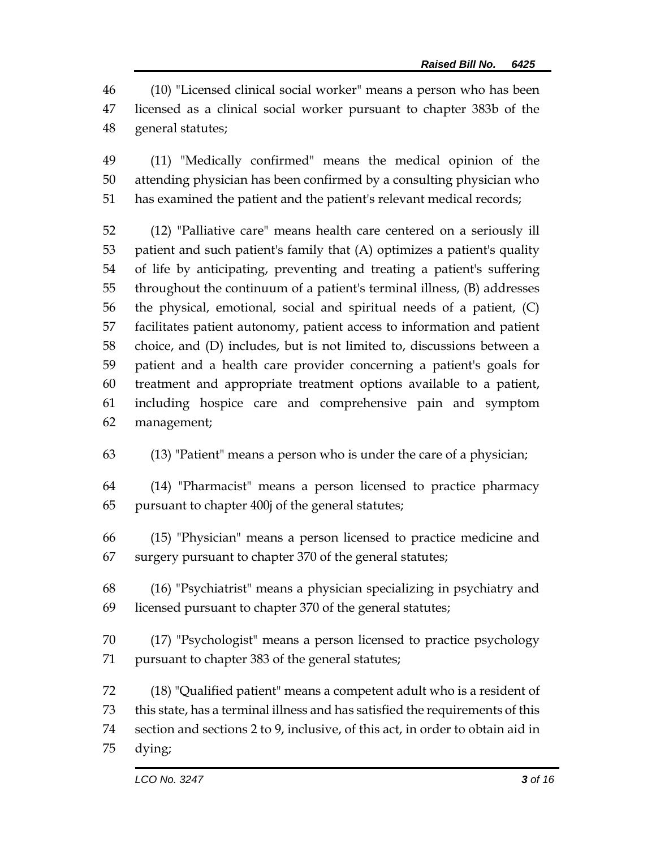(10) "Licensed clinical social worker" means a person who has been licensed as a clinical social worker pursuant to chapter 383b of the general statutes;

 (11) "Medically confirmed" means the medical opinion of the attending physician has been confirmed by a consulting physician who has examined the patient and the patient's relevant medical records;

 (12) "Palliative care" means health care centered on a seriously ill patient and such patient's family that (A) optimizes a patient's quality of life by anticipating, preventing and treating a patient's suffering throughout the continuum of a patient's terminal illness, (B) addresses the physical, emotional, social and spiritual needs of a patient, (C) facilitates patient autonomy, patient access to information and patient choice, and (D) includes, but is not limited to, discussions between a patient and a health care provider concerning a patient's goals for treatment and appropriate treatment options available to a patient, including hospice care and comprehensive pain and symptom management;

(13) "Patient" means a person who is under the care of a physician;

 (14) "Pharmacist" means a person licensed to practice pharmacy pursuant to chapter 400j of the general statutes;

 (15) "Physician" means a person licensed to practice medicine and surgery pursuant to chapter 370 of the general statutes;

 (16) "Psychiatrist" means a physician specializing in psychiatry and licensed pursuant to chapter 370 of the general statutes;

 (17) "Psychologist" means a person licensed to practice psychology pursuant to chapter 383 of the general statutes;

 (18) "Qualified patient" means a competent adult who is a resident of this state, has a terminal illness and has satisfied the requirements of this section and sections 2 to 9, inclusive, of this act, in order to obtain aid in dying;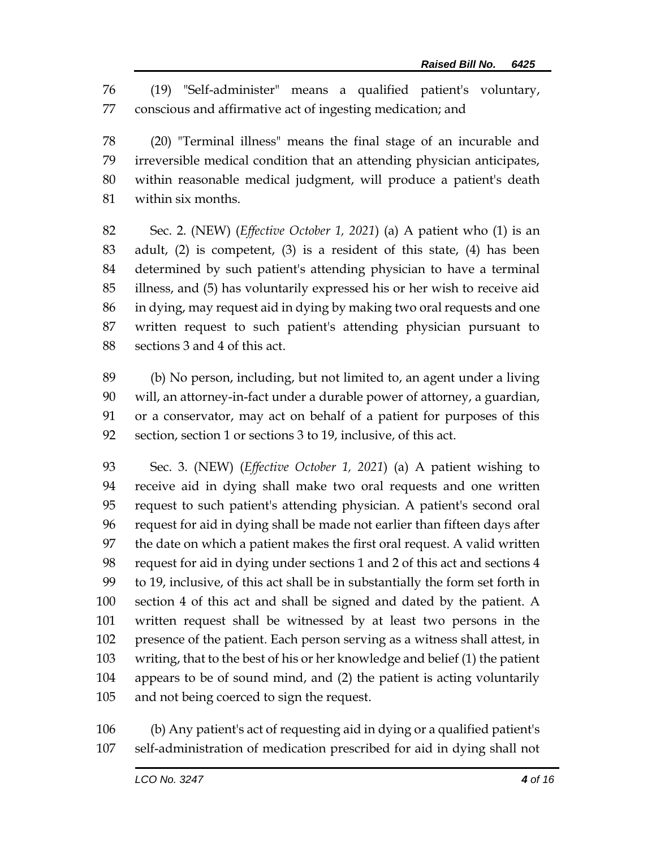(19) "Self-administer" means a qualified patient's voluntary, conscious and affirmative act of ingesting medication; and

 (20) "Terminal illness" means the final stage of an incurable and irreversible medical condition that an attending physician anticipates, within reasonable medical judgment, will produce a patient's death within six months.

 Sec. 2. (NEW) (*Effective October 1, 2021*) (a) A patient who (1) is an adult, (2) is competent, (3) is a resident of this state, (4) has been determined by such patient's attending physician to have a terminal illness, and (5) has voluntarily expressed his or her wish to receive aid in dying, may request aid in dying by making two oral requests and one written request to such patient's attending physician pursuant to sections 3 and 4 of this act.

 (b) No person, including, but not limited to, an agent under a living will, an attorney-in-fact under a durable power of attorney, a guardian, or a conservator, may act on behalf of a patient for purposes of this section, section 1 or sections 3 to 19, inclusive, of this act.

 Sec. 3. (NEW) (*Effective October 1, 2021*) (a) A patient wishing to receive aid in dying shall make two oral requests and one written request to such patient's attending physician. A patient's second oral request for aid in dying shall be made not earlier than fifteen days after the date on which a patient makes the first oral request. A valid written request for aid in dying under sections 1 and 2 of this act and sections 4 to 19, inclusive, of this act shall be in substantially the form set forth in section 4 of this act and shall be signed and dated by the patient. A written request shall be witnessed by at least two persons in the presence of the patient. Each person serving as a witness shall attest, in writing, that to the best of his or her knowledge and belief (1) the patient appears to be of sound mind, and (2) the patient is acting voluntarily and not being coerced to sign the request.

 (b) Any patient's act of requesting aid in dying or a qualified patient's self-administration of medication prescribed for aid in dying shall not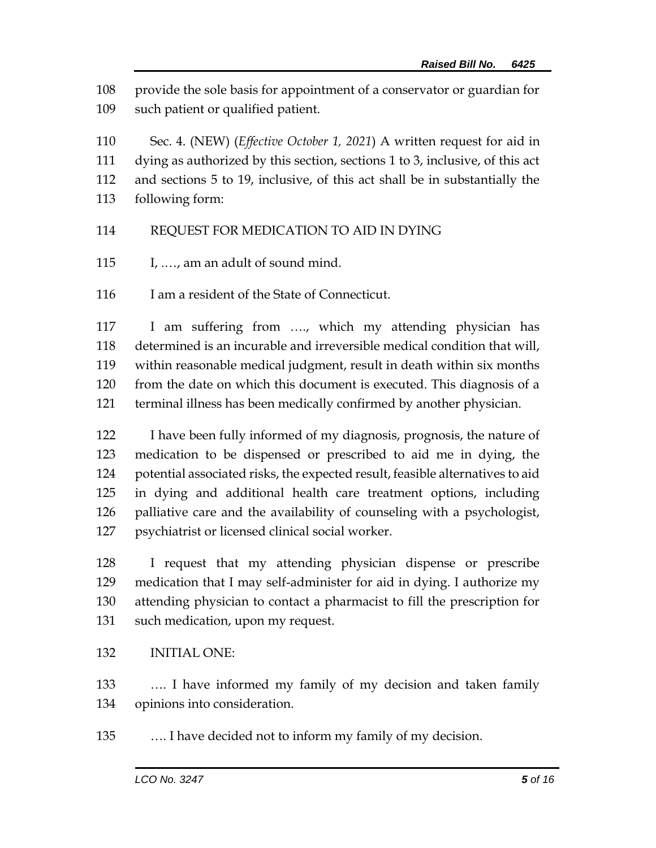provide the sole basis for appointment of a conservator or guardian for such patient or qualified patient.

 Sec. 4. (NEW) (*Effective October 1, 2021*) A written request for aid in dying as authorized by this section, sections 1 to 3, inclusive, of this act and sections 5 to 19, inclusive, of this act shall be in substantially the following form:

### REQUEST FOR MEDICATION TO AID IN DYING

I, .…, am an adult of sound mind.

116 I am a resident of the State of Connecticut.

 I am suffering from …., which my attending physician has determined is an incurable and irreversible medical condition that will, within reasonable medical judgment, result in death within six months from the date on which this document is executed. This diagnosis of a terminal illness has been medically confirmed by another physician.

 I have been fully informed of my diagnosis, prognosis, the nature of medication to be dispensed or prescribed to aid me in dying, the potential associated risks, the expected result, feasible alternatives to aid in dying and additional health care treatment options, including palliative care and the availability of counseling with a psychologist, psychiatrist or licensed clinical social worker.

 I request that my attending physician dispense or prescribe medication that I may self-administer for aid in dying. I authorize my attending physician to contact a pharmacist to fill the prescription for such medication, upon my request.

### INITIAL ONE:

 …. I have informed my family of my decision and taken family opinions into consideration.

…. I have decided not to inform my family of my decision.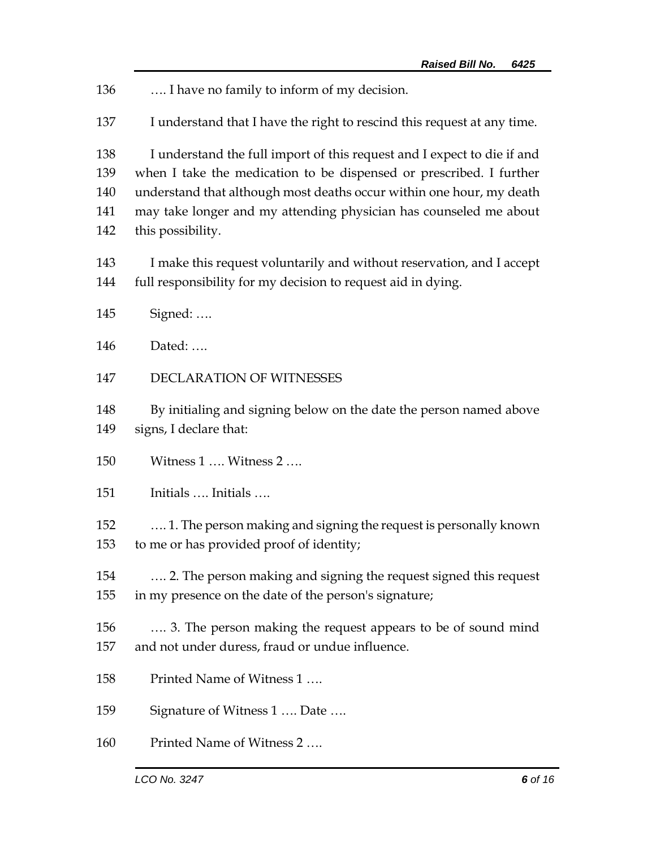| 136                             | I have no family to inform of my decision.                                                                                                                                                                                                                                                                       |
|---------------------------------|------------------------------------------------------------------------------------------------------------------------------------------------------------------------------------------------------------------------------------------------------------------------------------------------------------------|
| 137                             | I understand that I have the right to rescind this request at any time.                                                                                                                                                                                                                                          |
| 138<br>139<br>140<br>141<br>142 | I understand the full import of this request and I expect to die if and<br>when I take the medication to be dispensed or prescribed. I further<br>understand that although most deaths occur within one hour, my death<br>may take longer and my attending physician has counseled me about<br>this possibility. |
| 143<br>144                      | I make this request voluntarily and without reservation, and I accept<br>full responsibility for my decision to request aid in dying.                                                                                                                                                                            |
| 145                             | Signed:                                                                                                                                                                                                                                                                                                          |
| 146                             | Dated:                                                                                                                                                                                                                                                                                                           |
| 147                             | <b>DECLARATION OF WITNESSES</b>                                                                                                                                                                                                                                                                                  |
| 148<br>149                      | By initialing and signing below on the date the person named above<br>signs, I declare that:                                                                                                                                                                                                                     |
| 150                             | Witness 1  Witness 2                                                                                                                                                                                                                                                                                             |
| 151                             | Initials  Initials                                                                                                                                                                                                                                                                                               |
| 152<br>153                      | 1. The person making and signing the request is personally known<br>to me or has provided proof of identity;                                                                                                                                                                                                     |
| 154<br>155                      | 2. The person making and signing the request signed this request<br>in my presence on the date of the person's signature;                                                                                                                                                                                        |
| 156<br>157                      | 3. The person making the request appears to be of sound mind<br>and not under duress, fraud or undue influence.                                                                                                                                                                                                  |
| 158                             | Printed Name of Witness 1                                                                                                                                                                                                                                                                                        |
| 159                             | Signature of Witness 1  Date                                                                                                                                                                                                                                                                                     |
| 160                             | Printed Name of Witness 2                                                                                                                                                                                                                                                                                        |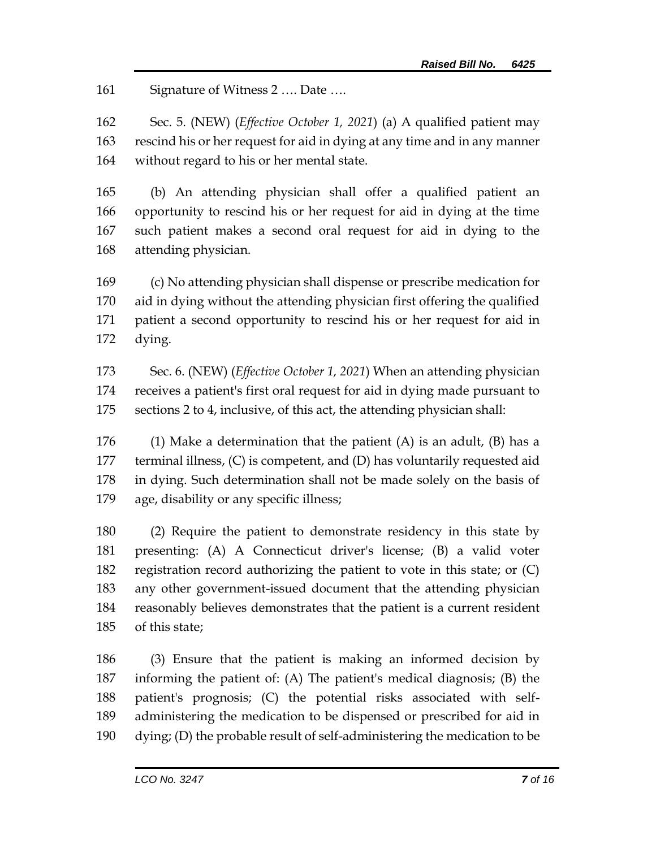161 Signature of Witness 2 .... Date ....

 Sec. 5. (NEW) (*Effective October 1, 2021*) (a) A qualified patient may rescind his or her request for aid in dying at any time and in any manner without regard to his or her mental state.

 (b) An attending physician shall offer a qualified patient an opportunity to rescind his or her request for aid in dying at the time such patient makes a second oral request for aid in dying to the attending physician.

 (c) No attending physician shall dispense or prescribe medication for aid in dying without the attending physician first offering the qualified patient a second opportunity to rescind his or her request for aid in dying.

 Sec. 6. (NEW) (*Effective October 1, 2021*) When an attending physician receives a patient's first oral request for aid in dying made pursuant to sections 2 to 4, inclusive, of this act, the attending physician shall:

176 (1) Make a determination that the patient  $(A)$  is an adult,  $(B)$  has a terminal illness, (C) is competent, and (D) has voluntarily requested aid in dying. Such determination shall not be made solely on the basis of age, disability or any specific illness;

 (2) Require the patient to demonstrate residency in this state by presenting: (A) A Connecticut driver's license; (B) a valid voter registration record authorizing the patient to vote in this state; or (C) any other government-issued document that the attending physician reasonably believes demonstrates that the patient is a current resident of this state;

 (3) Ensure that the patient is making an informed decision by informing the patient of: (A) The patient's medical diagnosis; (B) the patient's prognosis; (C) the potential risks associated with self- administering the medication to be dispensed or prescribed for aid in dying; (D) the probable result of self-administering the medication to be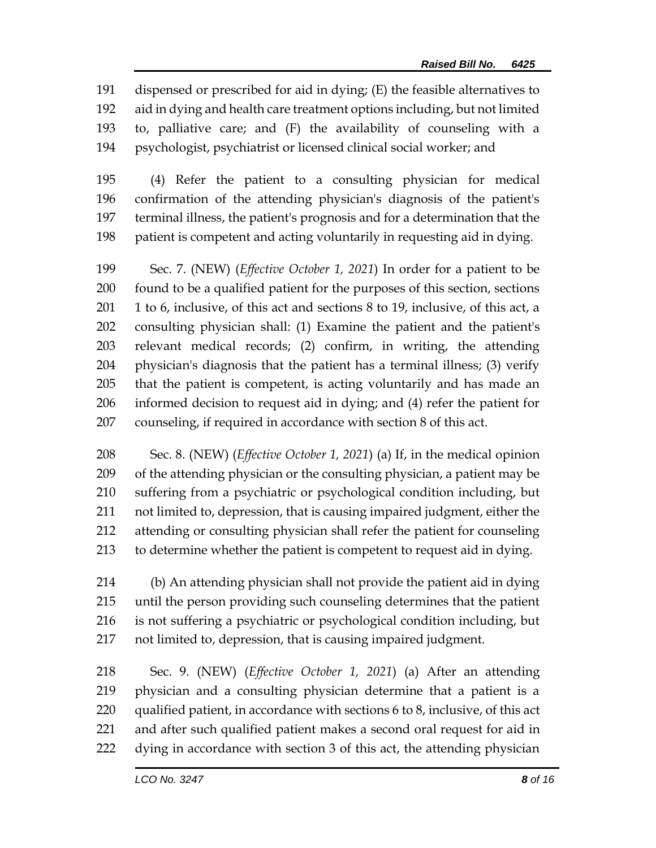dispensed or prescribed for aid in dying; (E) the feasible alternatives to aid in dying and health care treatment options including, but not limited to, palliative care; and (F) the availability of counseling with a psychologist, psychiatrist or licensed clinical social worker; and

 (4) Refer the patient to a consulting physician for medical confirmation of the attending physician's diagnosis of the patient's terminal illness, the patient's prognosis and for a determination that the patient is competent and acting voluntarily in requesting aid in dying.

 Sec. 7. (NEW) (*Effective October 1, 2021*) In order for a patient to be found to be a qualified patient for the purposes of this section, sections 1 to 6, inclusive, of this act and sections 8 to 19, inclusive, of this act, a consulting physician shall: (1) Examine the patient and the patient's relevant medical records; (2) confirm, in writing, the attending physician's diagnosis that the patient has a terminal illness; (3) verify that the patient is competent, is acting voluntarily and has made an informed decision to request aid in dying; and (4) refer the patient for counseling, if required in accordance with section 8 of this act.

 Sec. 8. (NEW) (*Effective October 1, 2021*) (a) If, in the medical opinion of the attending physician or the consulting physician, a patient may be suffering from a psychiatric or psychological condition including, but not limited to, depression, that is causing impaired judgment, either the attending or consulting physician shall refer the patient for counseling to determine whether the patient is competent to request aid in dying.

 (b) An attending physician shall not provide the patient aid in dying until the person providing such counseling determines that the patient is not suffering a psychiatric or psychological condition including, but not limited to, depression, that is causing impaired judgment.

 Sec. 9. (NEW) (*Effective October 1, 2021*) (a) After an attending physician and a consulting physician determine that a patient is a qualified patient, in accordance with sections 6 to 8, inclusive, of this act and after such qualified patient makes a second oral request for aid in dying in accordance with section 3 of this act, the attending physician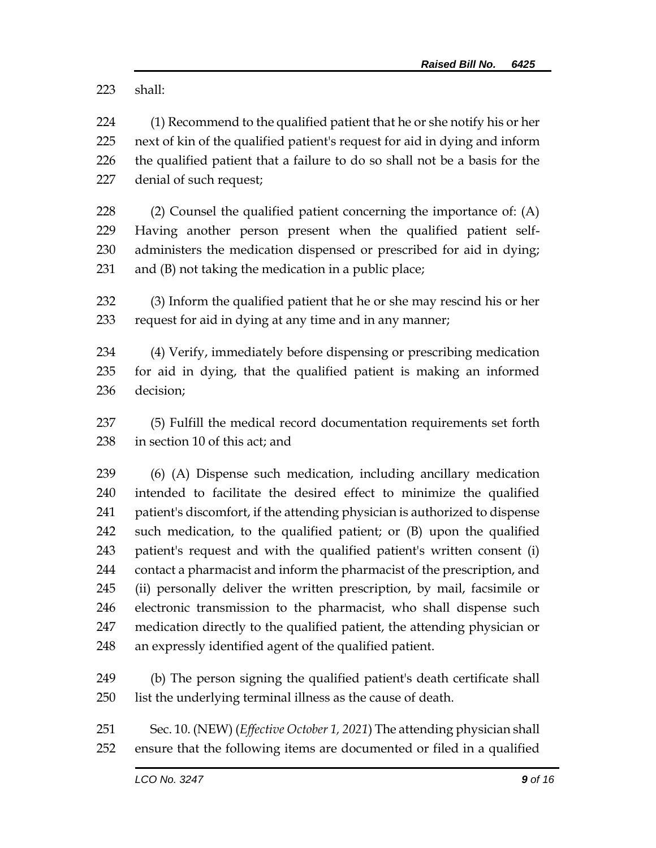shall:

 (1) Recommend to the qualified patient that he or she notify his or her next of kin of the qualified patient's request for aid in dying and inform the qualified patient that a failure to do so shall not be a basis for the denial of such request;

 (2) Counsel the qualified patient concerning the importance of: (A) Having another person present when the qualified patient self- administers the medication dispensed or prescribed for aid in dying; and (B) not taking the medication in a public place;

 (3) Inform the qualified patient that he or she may rescind his or her request for aid in dying at any time and in any manner;

 (4) Verify, immediately before dispensing or prescribing medication for aid in dying, that the qualified patient is making an informed decision;

 (5) Fulfill the medical record documentation requirements set forth in section 10 of this act; and

 (6) (A) Dispense such medication, including ancillary medication intended to facilitate the desired effect to minimize the qualified patient's discomfort, if the attending physician is authorized to dispense such medication, to the qualified patient; or (B) upon the qualified patient's request and with the qualified patient's written consent (i) contact a pharmacist and inform the pharmacist of the prescription, and (ii) personally deliver the written prescription, by mail, facsimile or electronic transmission to the pharmacist, who shall dispense such medication directly to the qualified patient, the attending physician or an expressly identified agent of the qualified patient.

 (b) The person signing the qualified patient's death certificate shall list the underlying terminal illness as the cause of death.

 Sec. 10. (NEW) (*Effective October 1, 2021*) The attending physician shall ensure that the following items are documented or filed in a qualified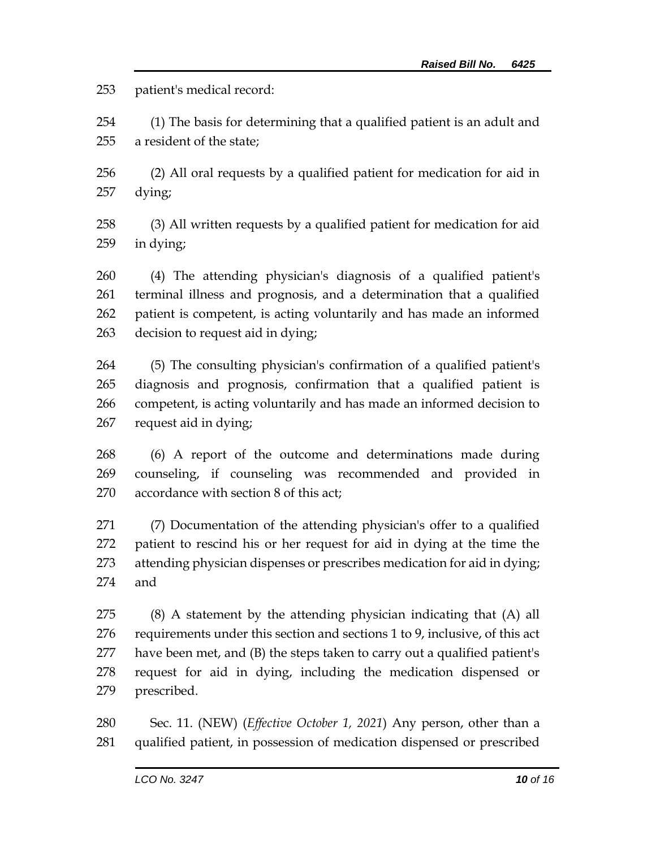patient's medical record:

 (1) The basis for determining that a qualified patient is an adult and a resident of the state;

 (2) All oral requests by a qualified patient for medication for aid in dying;

 (3) All written requests by a qualified patient for medication for aid in dying;

 (4) The attending physician's diagnosis of a qualified patient's terminal illness and prognosis, and a determination that a qualified patient is competent, is acting voluntarily and has made an informed decision to request aid in dying;

 (5) The consulting physician's confirmation of a qualified patient's diagnosis and prognosis, confirmation that a qualified patient is competent, is acting voluntarily and has made an informed decision to request aid in dying;

 (6) A report of the outcome and determinations made during counseling, if counseling was recommended and provided in accordance with section 8 of this act;

 (7) Documentation of the attending physician's offer to a qualified patient to rescind his or her request for aid in dying at the time the attending physician dispenses or prescribes medication for aid in dying; and

 (8) A statement by the attending physician indicating that (A) all requirements under this section and sections 1 to 9, inclusive, of this act have been met, and (B) the steps taken to carry out a qualified patient's request for aid in dying, including the medication dispensed or prescribed.

 Sec. 11. (NEW) (*Effective October 1, 2021*) Any person, other than a qualified patient, in possession of medication dispensed or prescribed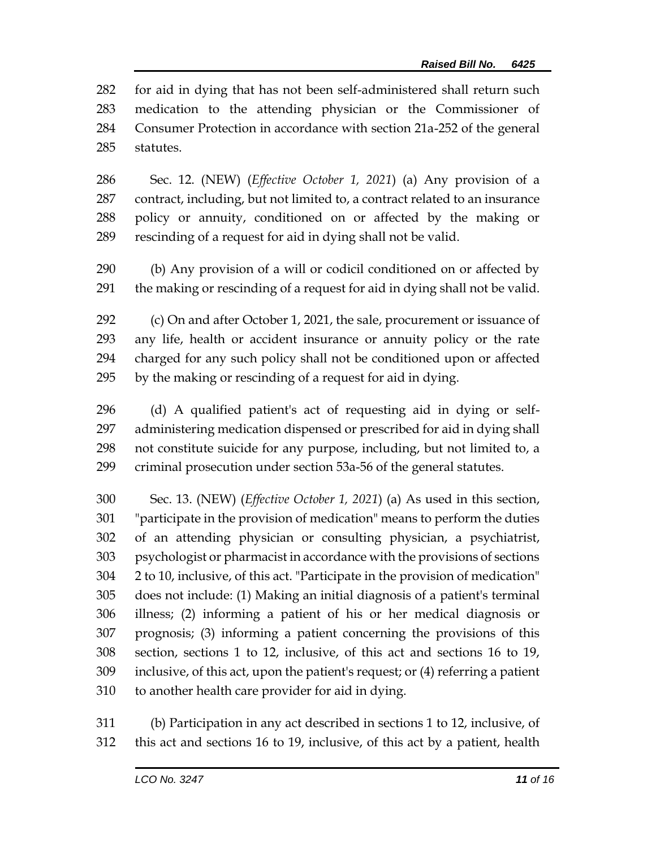for aid in dying that has not been self-administered shall return such medication to the attending physician or the Commissioner of Consumer Protection in accordance with section 21a-252 of the general statutes.

 Sec. 12. (NEW) (*Effective October 1, 2021*) (a) Any provision of a contract, including, but not limited to, a contract related to an insurance policy or annuity, conditioned on or affected by the making or rescinding of a request for aid in dying shall not be valid.

 (b) Any provision of a will or codicil conditioned on or affected by the making or rescinding of a request for aid in dying shall not be valid.

 (c) On and after October 1, 2021, the sale, procurement or issuance of any life, health or accident insurance or annuity policy or the rate charged for any such policy shall not be conditioned upon or affected by the making or rescinding of a request for aid in dying.

 (d) A qualified patient's act of requesting aid in dying or self- administering medication dispensed or prescribed for aid in dying shall not constitute suicide for any purpose, including, but not limited to, a criminal prosecution under section 53a-56 of the general statutes.

 Sec. 13. (NEW) (*Effective October 1, 2021*) (a) As used in this section, "participate in the provision of medication" means to perform the duties of an attending physician or consulting physician, a psychiatrist, psychologist or pharmacist in accordance with the provisions of sections 2 to 10, inclusive, of this act. "Participate in the provision of medication" does not include: (1) Making an initial diagnosis of a patient's terminal illness; (2) informing a patient of his or her medical diagnosis or prognosis; (3) informing a patient concerning the provisions of this section, sections 1 to 12, inclusive, of this act and sections 16 to 19, inclusive, of this act, upon the patient's request; or (4) referring a patient to another health care provider for aid in dying.

 (b) Participation in any act described in sections 1 to 12, inclusive, of this act and sections 16 to 19, inclusive, of this act by a patient, health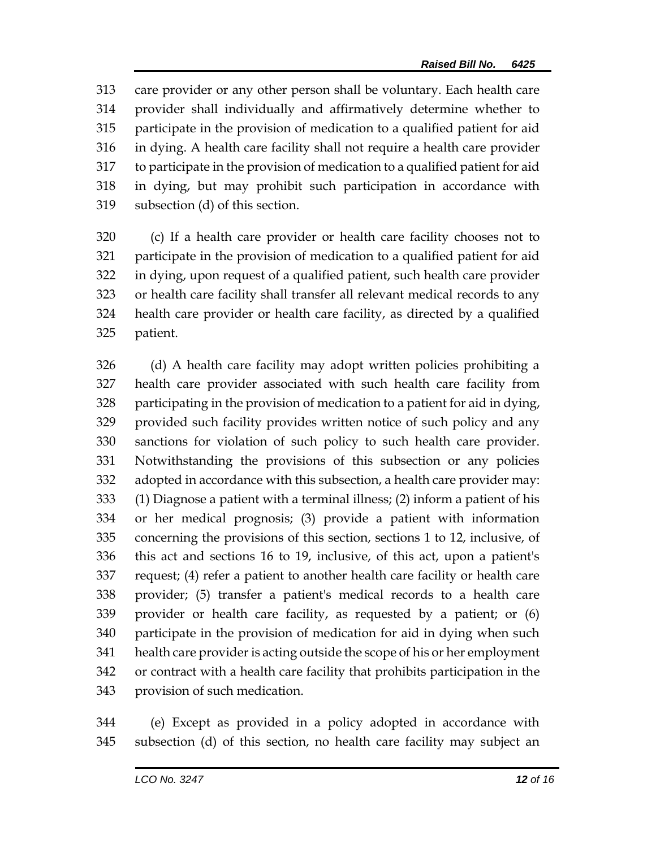care provider or any other person shall be voluntary. Each health care provider shall individually and affirmatively determine whether to participate in the provision of medication to a qualified patient for aid in dying. A health care facility shall not require a health care provider to participate in the provision of medication to a qualified patient for aid in dying, but may prohibit such participation in accordance with subsection (d) of this section.

 (c) If a health care provider or health care facility chooses not to participate in the provision of medication to a qualified patient for aid in dying, upon request of a qualified patient, such health care provider or health care facility shall transfer all relevant medical records to any health care provider or health care facility, as directed by a qualified patient.

 (d) A health care facility may adopt written policies prohibiting a health care provider associated with such health care facility from participating in the provision of medication to a patient for aid in dying, provided such facility provides written notice of such policy and any sanctions for violation of such policy to such health care provider. Notwithstanding the provisions of this subsection or any policies adopted in accordance with this subsection, a health care provider may: (1) Diagnose a patient with a terminal illness; (2) inform a patient of his or her medical prognosis; (3) provide a patient with information concerning the provisions of this section, sections 1 to 12, inclusive, of this act and sections 16 to 19, inclusive, of this act, upon a patient's request; (4) refer a patient to another health care facility or health care provider; (5) transfer a patient's medical records to a health care provider or health care facility, as requested by a patient; or (6) participate in the provision of medication for aid in dying when such health care provider is acting outside the scope of his or her employment or contract with a health care facility that prohibits participation in the provision of such medication.

 (e) Except as provided in a policy adopted in accordance with subsection (d) of this section, no health care facility may subject an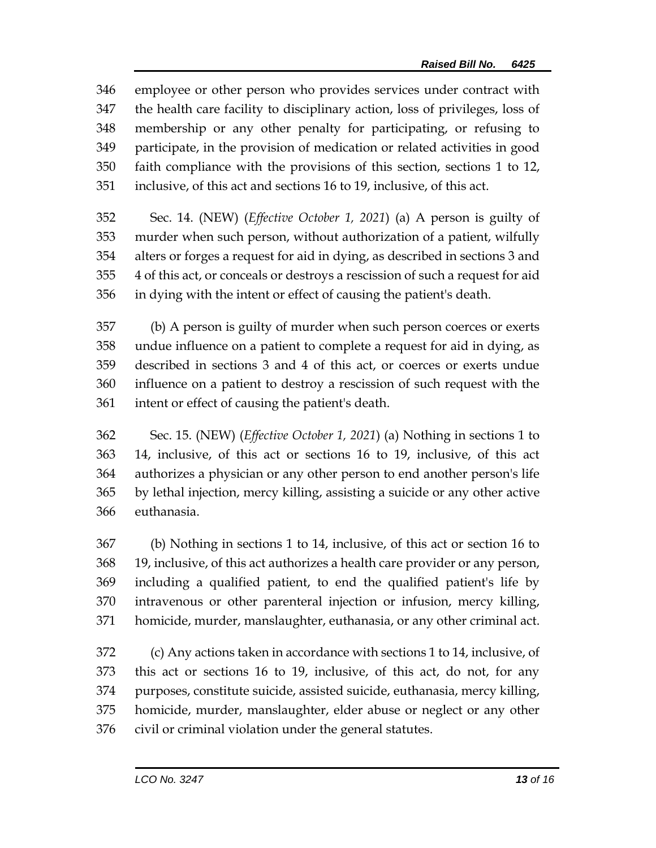employee or other person who provides services under contract with the health care facility to disciplinary action, loss of privileges, loss of membership or any other penalty for participating, or refusing to participate, in the provision of medication or related activities in good faith compliance with the provisions of this section, sections 1 to 12, inclusive, of this act and sections 16 to 19, inclusive, of this act.

 Sec. 14. (NEW) (*Effective October 1, 2021*) (a) A person is guilty of murder when such person, without authorization of a patient, wilfully alters or forges a request for aid in dying, as described in sections 3 and 4 of this act, or conceals or destroys a rescission of such a request for aid in dying with the intent or effect of causing the patient's death.

 (b) A person is guilty of murder when such person coerces or exerts undue influence on a patient to complete a request for aid in dying, as described in sections 3 and 4 of this act, or coerces or exerts undue influence on a patient to destroy a rescission of such request with the intent or effect of causing the patient's death.

 Sec. 15. (NEW) (*Effective October 1, 2021*) (a) Nothing in sections 1 to 14, inclusive, of this act or sections 16 to 19, inclusive, of this act authorizes a physician or any other person to end another person's life by lethal injection, mercy killing, assisting a suicide or any other active euthanasia.

 (b) Nothing in sections 1 to 14, inclusive, of this act or section 16 to 19, inclusive, of this act authorizes a health care provider or any person, including a qualified patient, to end the qualified patient's life by intravenous or other parenteral injection or infusion, mercy killing, homicide, murder, manslaughter, euthanasia, or any other criminal act.

 (c) Any actions taken in accordance with sections 1 to 14, inclusive, of this act or sections 16 to 19, inclusive, of this act, do not, for any purposes, constitute suicide, assisted suicide, euthanasia, mercy killing, homicide, murder, manslaughter, elder abuse or neglect or any other civil or criminal violation under the general statutes.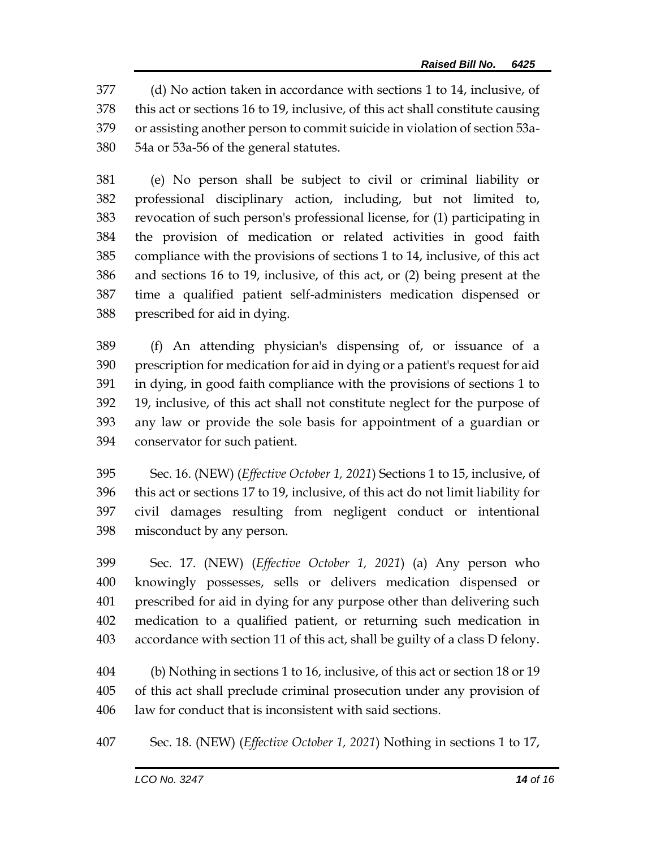(d) No action taken in accordance with sections 1 to 14, inclusive, of this act or sections 16 to 19, inclusive, of this act shall constitute causing or assisting another person to commit suicide in violation of section 53a-54a or 53a-56 of the general statutes.

 (e) No person shall be subject to civil or criminal liability or professional disciplinary action, including, but not limited to, revocation of such person's professional license, for (1) participating in the provision of medication or related activities in good faith compliance with the provisions of sections 1 to 14, inclusive, of this act and sections 16 to 19, inclusive, of this act, or (2) being present at the time a qualified patient self-administers medication dispensed or prescribed for aid in dying.

 (f) An attending physician's dispensing of, or issuance of a prescription for medication for aid in dying or a patient's request for aid in dying, in good faith compliance with the provisions of sections 1 to 19, inclusive, of this act shall not constitute neglect for the purpose of any law or provide the sole basis for appointment of a guardian or conservator for such patient.

 Sec. 16. (NEW) (*Effective October 1, 2021*) Sections 1 to 15, inclusive, of this act or sections 17 to 19, inclusive, of this act do not limit liability for civil damages resulting from negligent conduct or intentional misconduct by any person.

 Sec. 17. (NEW) (*Effective October 1, 2021*) (a) Any person who knowingly possesses, sells or delivers medication dispensed or prescribed for aid in dying for any purpose other than delivering such medication to a qualified patient, or returning such medication in accordance with section 11 of this act, shall be guilty of a class D felony.

 (b) Nothing in sections 1 to 16, inclusive, of this act or section 18 or 19 of this act shall preclude criminal prosecution under any provision of law for conduct that is inconsistent with said sections.

Sec. 18. (NEW) (*Effective October 1, 2021*) Nothing in sections 1 to 17,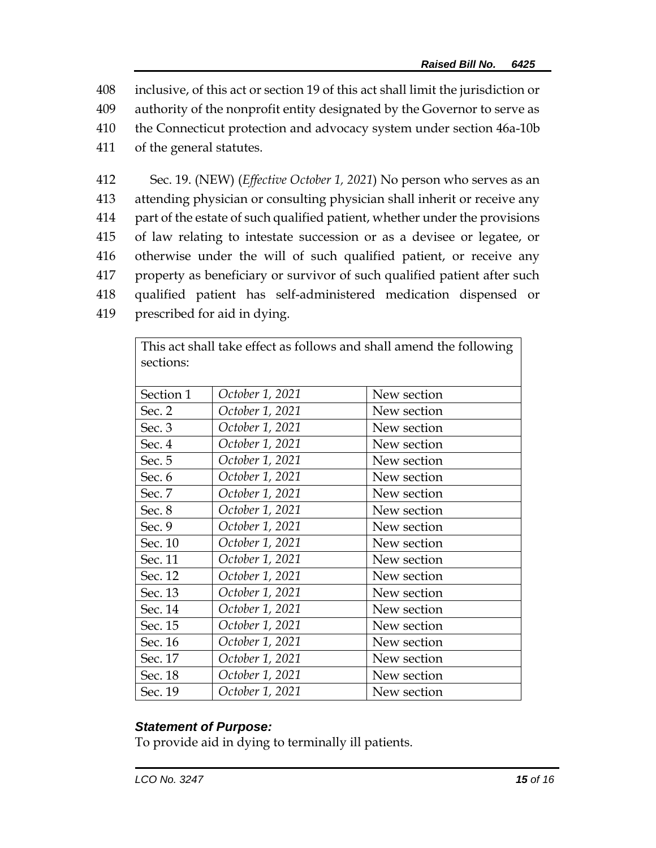408 inclusive, of this act or section 19 of this act shall limit the jurisdiction or

- 409 authority of the nonprofit entity designated by the Governor to serve as
- 410 the Connecticut protection and advocacy system under section 46a-10b
- 411 of the general statutes.
- 412 Sec. 19. (NEW) (*Effective October 1, 2021*) No person who serves as an 413 attending physician or consulting physician shall inherit or receive any 414 part of the estate of such qualified patient, whether under the provisions 415 of law relating to intestate succession or as a devisee or legatee, or 416 otherwise under the will of such qualified patient, or receive any 417 property as beneficiary or survivor of such qualified patient after such 418 qualified patient has self-administered medication dispensed or 419 prescribed for aid in dying.

| This act shall take effect as follows and shall amend the following |                 |             |  |
|---------------------------------------------------------------------|-----------------|-------------|--|
| sections:                                                           |                 |             |  |
|                                                                     |                 |             |  |
| Section 1                                                           | October 1, 2021 | New section |  |
| Sec. 2                                                              | October 1, 2021 | New section |  |
| Sec. 3                                                              | October 1, 2021 | New section |  |
| Sec. 4                                                              | October 1, 2021 | New section |  |
| Sec. 5                                                              | October 1, 2021 | New section |  |
| Sec. 6                                                              | October 1, 2021 | New section |  |
| Sec. 7                                                              | October 1, 2021 | New section |  |
| Sec. 8                                                              | October 1, 2021 | New section |  |
| Sec. 9                                                              | October 1, 2021 | New section |  |
| Sec. 10                                                             | October 1, 2021 | New section |  |
| Sec. 11                                                             | October 1, 2021 | New section |  |
| Sec. 12                                                             | October 1, 2021 | New section |  |
| Sec. 13                                                             | October 1, 2021 | New section |  |
| Sec. 14                                                             | October 1, 2021 | New section |  |
| Sec. 15                                                             | October 1, 2021 | New section |  |
| Sec. 16                                                             | October 1, 2021 | New section |  |
| Sec. 17                                                             | October 1, 2021 | New section |  |
| Sec. 18                                                             | October 1, 2021 | New section |  |
| Sec. 19                                                             | October 1, 2021 | New section |  |

### *Statement of Purpose:*

To provide aid in dying to terminally ill patients.